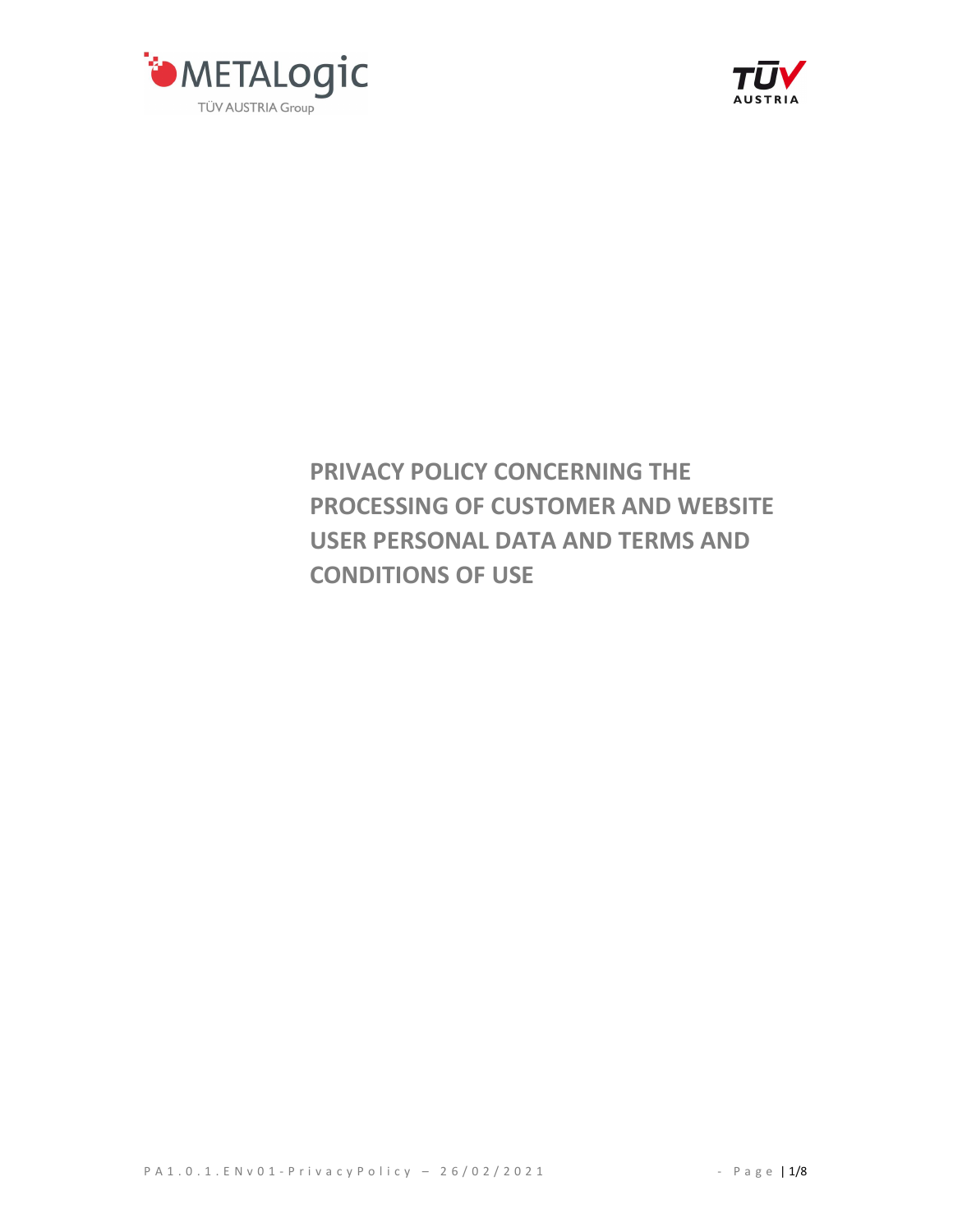



# PRIVACY POLICY CONCERNING THE PROCESSING OF CUSTOMER AND WEBSITE USER PERSONAL DATA AND TERMS AND CONDITIONS OF USE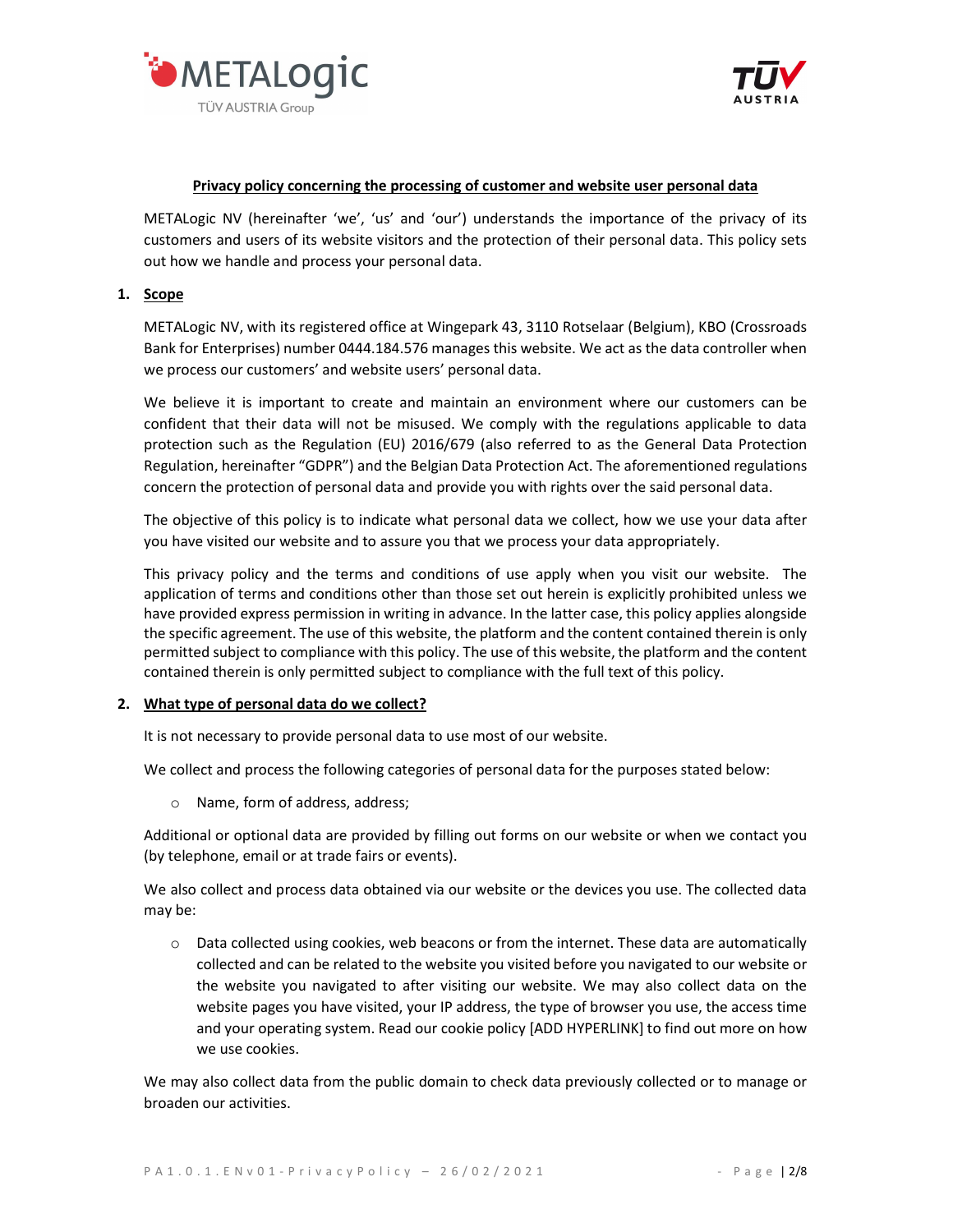



#### Privacy policy concerning the processing of customer and website user personal data

METALogic NV (hereinafter 'we', 'us' and 'our') understands the importance of the privacy of its customers and users of its website visitors and the protection of their personal data. This policy sets out how we handle and process your personal data.

## 1. Scope

METALogic NV, with its registered office at Wingepark 43, 3110 Rotselaar (Belgium), KBO (Crossroads Bank for Enterprises) number 0444.184.576 manages this website. We act as the data controller when we process our customers' and website users' personal data.

We believe it is important to create and maintain an environment where our customers can be confident that their data will not be misused. We comply with the regulations applicable to data protection such as the Regulation (EU) 2016/679 (also referred to as the General Data Protection Regulation, hereinafter "GDPR") and the Belgian Data Protection Act. The aforementioned regulations concern the protection of personal data and provide you with rights over the said personal data.

The objective of this policy is to indicate what personal data we collect, how we use your data after you have visited our website and to assure you that we process your data appropriately.

This privacy policy and the terms and conditions of use apply when you visit our website. The application of terms and conditions other than those set out herein is explicitly prohibited unless we have provided express permission in writing in advance. In the latter case, this policy applies alongside the specific agreement. The use of this website, the platform and the content contained therein is only permitted subject to compliance with this policy. The use of this website, the platform and the content contained therein is only permitted subject to compliance with the full text of this policy.

# 2. What type of personal data do we collect?

It is not necessary to provide personal data to use most of our website.

We collect and process the following categories of personal data for the purposes stated below:

o Name, form of address, address;

Additional or optional data are provided by filling out forms on our website or when we contact you (by telephone, email or at trade fairs or events).

We also collect and process data obtained via our website or the devices you use. The collected data may be:

 $\circ$  Data collected using cookies, web beacons or from the internet. These data are automatically collected and can be related to the website you visited before you navigated to our website or the website you navigated to after visiting our website. We may also collect data on the website pages you have visited, your IP address, the type of browser you use, the access time and your operating system. Read our cookie policy [ADD HYPERLINK] to find out more on how we use cookies.

We may also collect data from the public domain to check data previously collected or to manage or broaden our activities.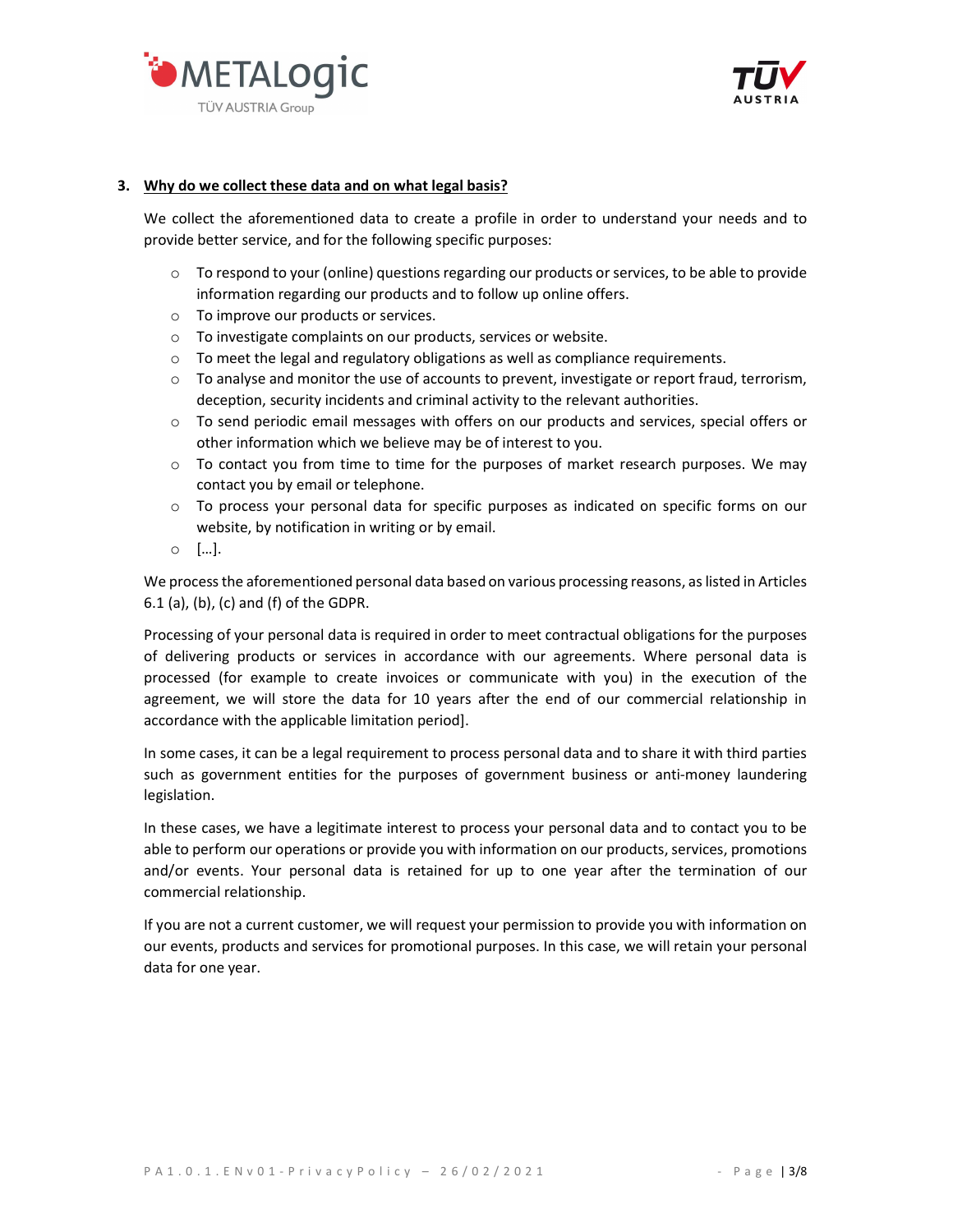



## 3. Why do we collect these data and on what legal basis?

We collect the aforementioned data to create a profile in order to understand your needs and to provide better service, and for the following specific purposes:

- o To respond to your (online) questions regarding our products or services, to be able to provide information regarding our products and to follow up online offers.
- o To improve our products or services.
- o To investigate complaints on our products, services or website.
- o To meet the legal and regulatory obligations as well as compliance requirements.
- $\circ$  To analyse and monitor the use of accounts to prevent, investigate or report fraud, terrorism, deception, security incidents and criminal activity to the relevant authorities.
- $\circ$  To send periodic email messages with offers on our products and services, special offers or other information which we believe may be of interest to you.
- $\circ$  To contact you from time to time for the purposes of market research purposes. We may contact you by email or telephone.
- o To process your personal data for specific purposes as indicated on specific forms on our website, by notification in writing or by email.
- o […].

We process the aforementioned personal data based on various processing reasons, as listed in Articles 6.1 (a), (b), (c) and (f) of the GDPR.

Processing of your personal data is required in order to meet contractual obligations for the purposes of delivering products or services in accordance with our agreements. Where personal data is processed (for example to create invoices or communicate with you) in the execution of the agreement, we will store the data for 10 years after the end of our commercial relationship in accordance with the applicable limitation period].

In some cases, it can be a legal requirement to process personal data and to share it with third parties such as government entities for the purposes of government business or anti-money laundering legislation.

In these cases, we have a legitimate interest to process your personal data and to contact you to be able to perform our operations or provide you with information on our products, services, promotions and/or events. Your personal data is retained for up to one year after the termination of our commercial relationship.

If you are not a current customer, we will request your permission to provide you with information on our events, products and services for promotional purposes. In this case, we will retain your personal data for one year.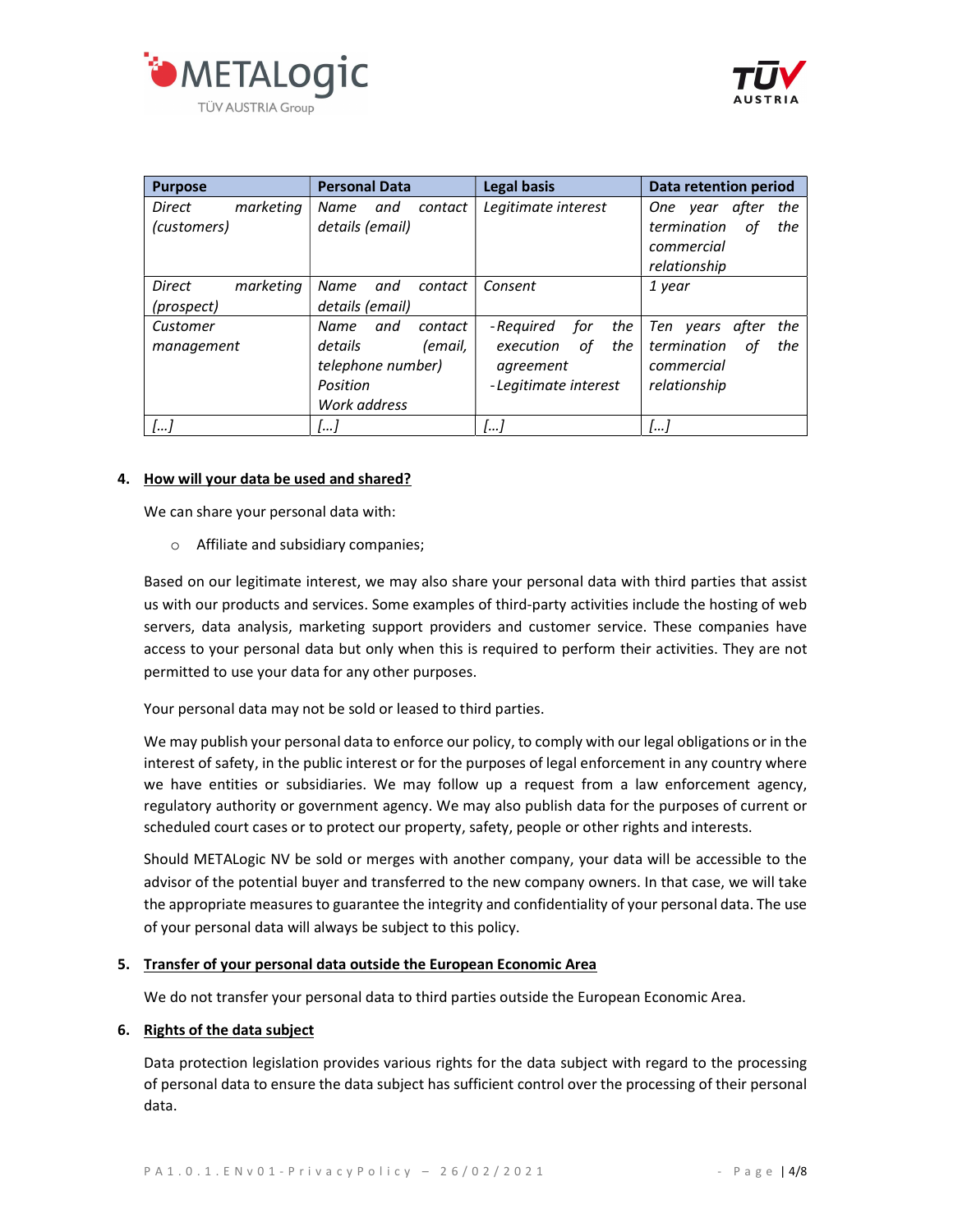



| <b>Purpose</b>             | <b>Personal Data</b>   | <b>Legal basis</b>      | <b>Data retention period</b> |
|----------------------------|------------------------|-------------------------|------------------------------|
| Direct<br>marketing        | Name<br>and<br>contact | Legitimate interest     | One year after<br>the        |
| (customers)                | details (email)        |                         | termination<br>the<br>оf     |
|                            |                        |                         | commercial                   |
|                            |                        |                         | relationship                 |
| <b>Direct</b><br>marketing | Name<br>and<br>contact | Consent                 | 1 year                       |
| (prospect)                 | details (email)        |                         |                              |
| Customer                   | Name<br>and<br>contact | for<br>the<br>-Required | Ten years<br>after<br>the    |
| management                 | details<br>(email,     | оf<br>the<br>execution  | termination<br>the<br>оf     |
|                            | telephone number)      | agreement               | commercial                   |
|                            | Position               | -Legitimate interest    | relationship                 |
|                            | Work address           |                         |                              |
| $\left[  \right]$          | I I                    |                         |                              |

## 4. How will your data be used and shared?

We can share your personal data with:

o Affiliate and subsidiary companies;

Based on our legitimate interest, we may also share your personal data with third parties that assist us with our products and services. Some examples of third-party activities include the hosting of web servers, data analysis, marketing support providers and customer service. These companies have access to your personal data but only when this is required to perform their activities. They are not permitted to use your data for any other purposes.

Your personal data may not be sold or leased to third parties.

We may publish your personal data to enforce our policy, to comply with our legal obligations or in the interest of safety, in the public interest or for the purposes of legal enforcement in any country where we have entities or subsidiaries. We may follow up a request from a law enforcement agency, regulatory authority or government agency. We may also publish data for the purposes of current or scheduled court cases or to protect our property, safety, people or other rights and interests.

Should METALogic NV be sold or merges with another company, your data will be accessible to the advisor of the potential buyer and transferred to the new company owners. In that case, we will take the appropriate measures to guarantee the integrity and confidentiality of your personal data. The use of your personal data will always be subject to this policy.

#### 5. Transfer of your personal data outside the European Economic Area

We do not transfer your personal data to third parties outside the European Economic Area.

#### 6. Rights of the data subject

Data protection legislation provides various rights for the data subject with regard to the processing of personal data to ensure the data subject has sufficient control over the processing of their personal data.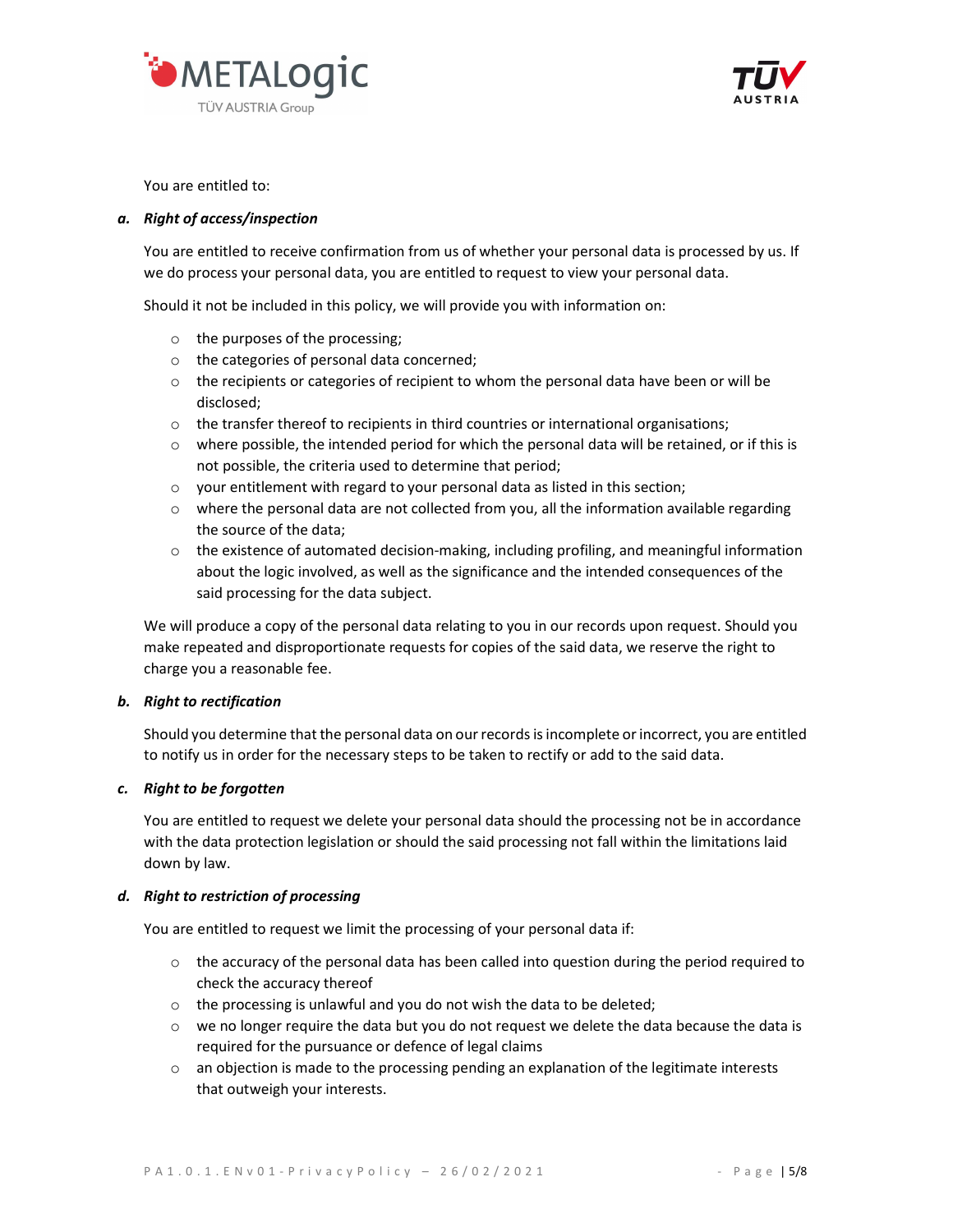



You are entitled to:

# a. Right of access/inspection

You are entitled to receive confirmation from us of whether your personal data is processed by us. If we do process your personal data, you are entitled to request to view your personal data.

Should it not be included in this policy, we will provide you with information on:

- o the purposes of the processing;
- o the categories of personal data concerned;
- $\circ$  the recipients or categories of recipient to whom the personal data have been or will be disclosed;
- $\circ$  the transfer thereof to recipients in third countries or international organisations;
- o where possible, the intended period for which the personal data will be retained, or if this is not possible, the criteria used to determine that period;
- o your entitlement with regard to your personal data as listed in this section;
- $\circ$  where the personal data are not collected from you, all the information available regarding the source of the data;
- $\circ$  the existence of automated decision-making, including profiling, and meaningful information about the logic involved, as well as the significance and the intended consequences of the said processing for the data subject.

We will produce a copy of the personal data relating to you in our records upon request. Should you make repeated and disproportionate requests for copies of the said data, we reserve the right to charge you a reasonable fee.

# b. Right to rectification

Should you determine that the personal data on our records is incomplete or incorrect, you are entitled to notify us in order for the necessary steps to be taken to rectify or add to the said data.

# c. Right to be forgotten

You are entitled to request we delete your personal data should the processing not be in accordance with the data protection legislation or should the said processing not fall within the limitations laid down by law.

# d. Right to restriction of processing

You are entitled to request we limit the processing of your personal data if:

- o the accuracy of the personal data has been called into question during the period required to check the accuracy thereof
- o the processing is unlawful and you do not wish the data to be deleted;
- $\circ$  we no longer require the data but you do not request we delete the data because the data is required for the pursuance or defence of legal claims
- $\circ$  an objection is made to the processing pending an explanation of the legitimate interests that outweigh your interests.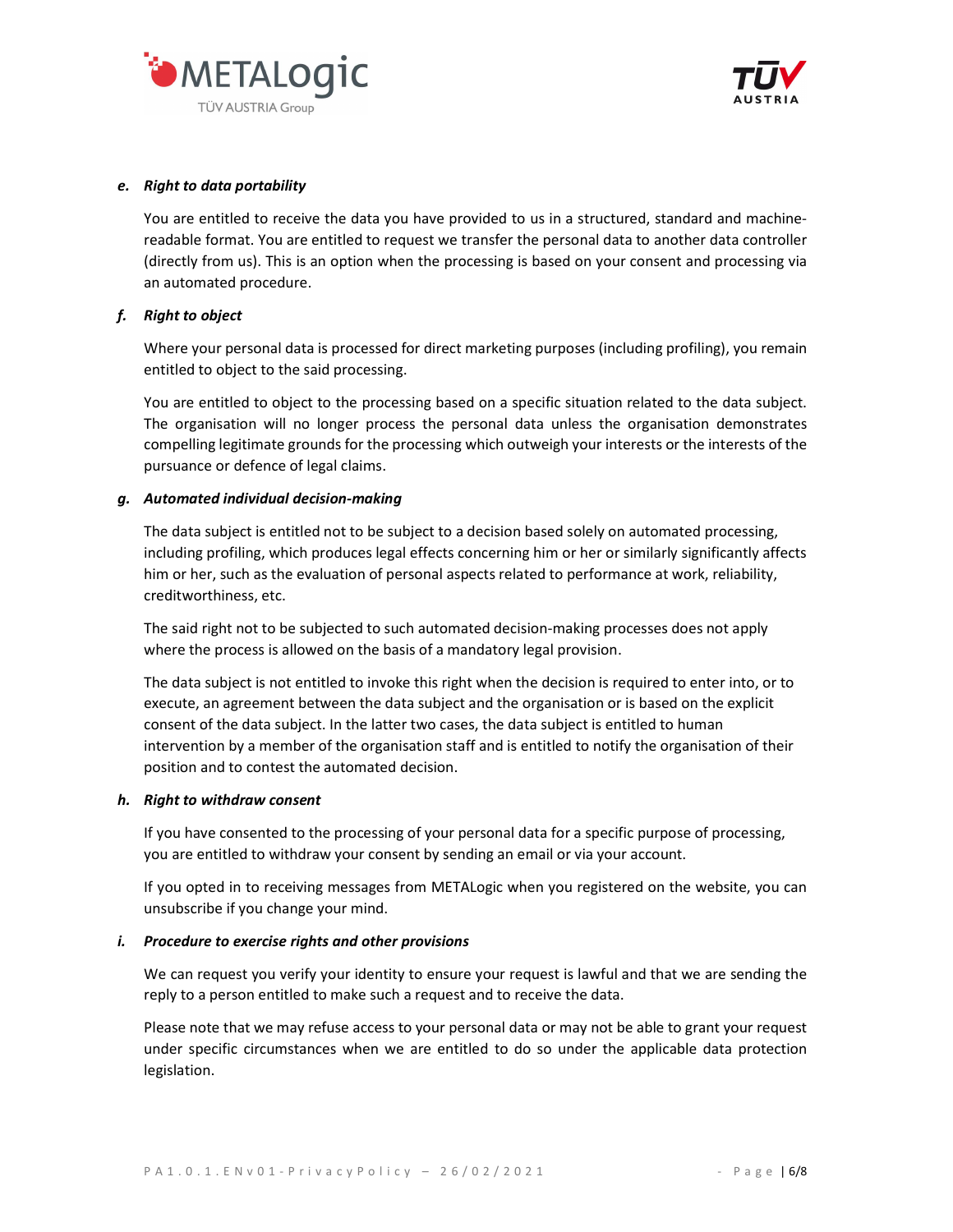



## e. Right to data portability

You are entitled to receive the data you have provided to us in a structured, standard and machinereadable format. You are entitled to request we transfer the personal data to another data controller (directly from us). This is an option when the processing is based on your consent and processing via an automated procedure.

# f. Right to object

Where your personal data is processed for direct marketing purposes (including profiling), you remain entitled to object to the said processing.

You are entitled to object to the processing based on a specific situation related to the data subject. The organisation will no longer process the personal data unless the organisation demonstrates compelling legitimate grounds for the processing which outweigh your interests or the interests of the pursuance or defence of legal claims.

## g. Automated individual decision-making

The data subject is entitled not to be subject to a decision based solely on automated processing, including profiling, which produces legal effects concerning him or her or similarly significantly affects him or her, such as the evaluation of personal aspects related to performance at work, reliability, creditworthiness, etc.

The said right not to be subjected to such automated decision-making processes does not apply where the process is allowed on the basis of a mandatory legal provision.

The data subject is not entitled to invoke this right when the decision is required to enter into, or to execute, an agreement between the data subject and the organisation or is based on the explicit consent of the data subject. In the latter two cases, the data subject is entitled to human intervention by a member of the organisation staff and is entitled to notify the organisation of their position and to contest the automated decision.

#### h. Right to withdraw consent

If you have consented to the processing of your personal data for a specific purpose of processing, you are entitled to withdraw your consent by sending an email or via your account.

If you opted in to receiving messages from METALogic when you registered on the website, you can unsubscribe if you change your mind.

#### i. Procedure to exercise rights and other provisions

We can request you verify your identity to ensure your request is lawful and that we are sending the reply to a person entitled to make such a request and to receive the data.

Please note that we may refuse access to your personal data or may not be able to grant your request under specific circumstances when we are entitled to do so under the applicable data protection legislation.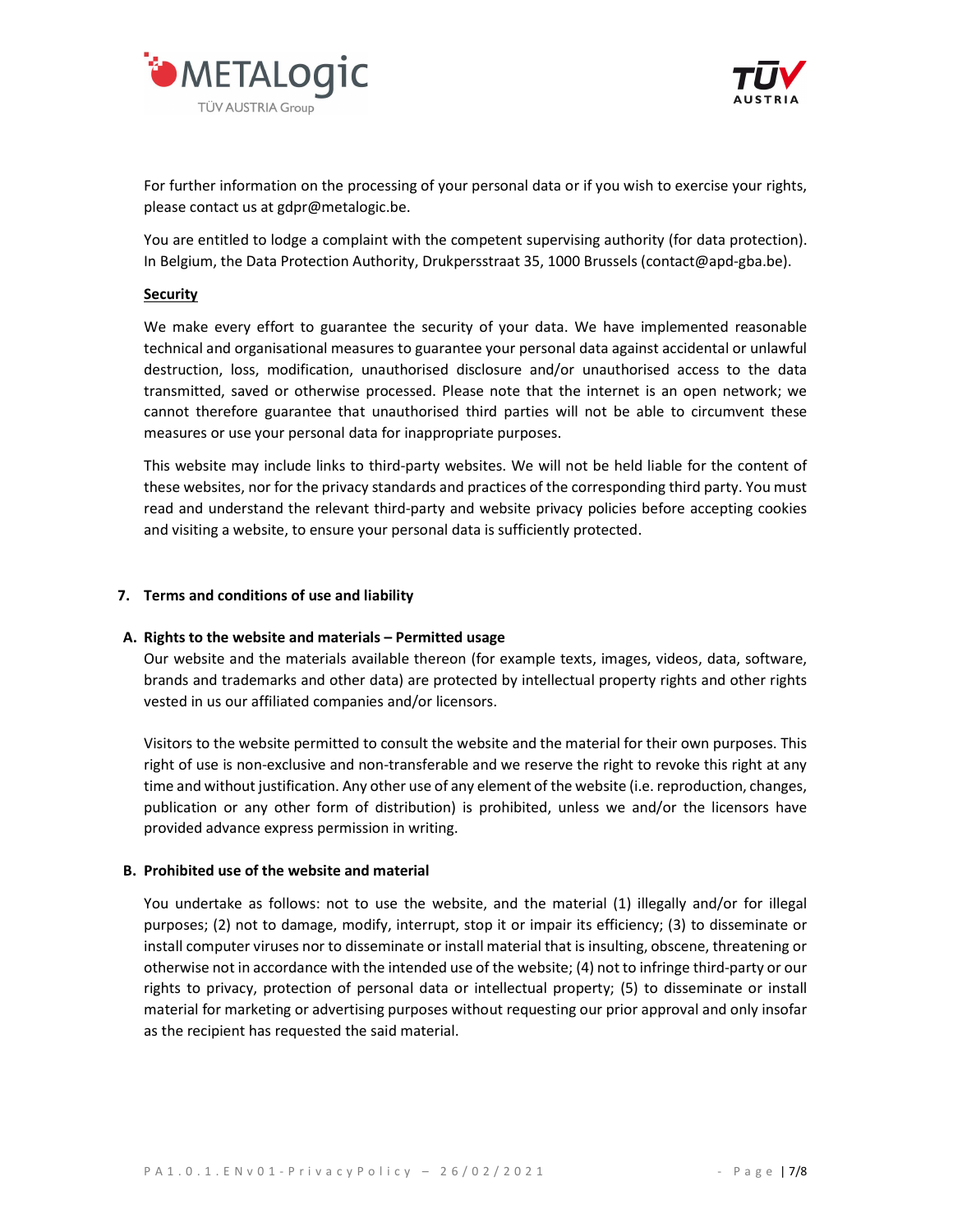



For further information on the processing of your personal data or if you wish to exercise your rights, please contact us at gdpr@metalogic.be.

You are entitled to lodge a complaint with the competent supervising authority (for data protection). In Belgium, the Data Protection Authority, Drukpersstraat 35, 1000 Brussels (contact@apd-gba.be).

### Security

We make every effort to guarantee the security of your data. We have implemented reasonable technical and organisational measures to guarantee your personal data against accidental or unlawful destruction, loss, modification, unauthorised disclosure and/or unauthorised access to the data transmitted, saved or otherwise processed. Please note that the internet is an open network; we cannot therefore guarantee that unauthorised third parties will not be able to circumvent these measures or use your personal data for inappropriate purposes.

This website may include links to third-party websites. We will not be held liable for the content of these websites, nor for the privacy standards and practices of the corresponding third party. You must read and understand the relevant third-party and website privacy policies before accepting cookies and visiting a website, to ensure your personal data is sufficiently protected.

## 7. Terms and conditions of use and liability

#### A. Rights to the website and materials – Permitted usage

Our website and the materials available thereon (for example texts, images, videos, data, software, brands and trademarks and other data) are protected by intellectual property rights and other rights vested in us our affiliated companies and/or licensors.

Visitors to the website permitted to consult the website and the material for their own purposes. This right of use is non-exclusive and non-transferable and we reserve the right to revoke this right at any time and without justification. Any other use of any element of the website (i.e. reproduction, changes, publication or any other form of distribution) is prohibited, unless we and/or the licensors have provided advance express permission in writing.

## B. Prohibited use of the website and material

You undertake as follows: not to use the website, and the material (1) illegally and/or for illegal purposes; (2) not to damage, modify, interrupt, stop it or impair its efficiency; (3) to disseminate or install computer viruses nor to disseminate or install material that is insulting, obscene, threatening or otherwise not in accordance with the intended use of the website; (4) not to infringe third-party or our rights to privacy, protection of personal data or intellectual property; (5) to disseminate or install material for marketing or advertising purposes without requesting our prior approval and only insofar as the recipient has requested the said material.